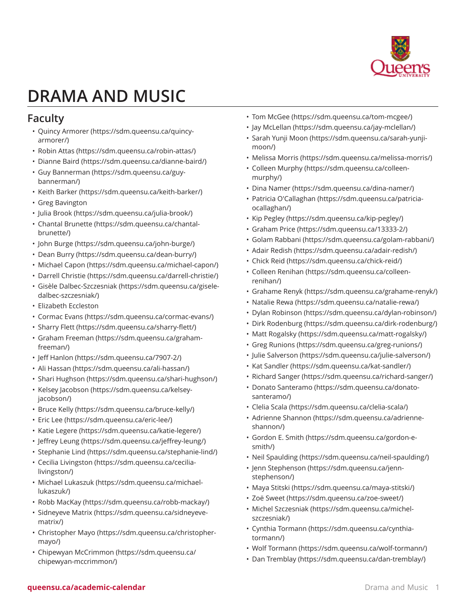

## **DRAMA AND MUSIC**

## **Faculty**

- Quincy [Armorer](https://sdm.queensu.ca/quincy-armorer/) ([https://sdm.queensu.ca/quincy](https://sdm.queensu.ca/quincy-armorer/)[armorer/\)](https://sdm.queensu.ca/quincy-armorer/)
- [Robin Attas](https://sdm.queensu.ca/robin-attas/) ([https://sdm.queensu.ca/robin-attas/\)](https://sdm.queensu.ca/robin-attas/)
- [Dianne](https://sdm.queensu.ca/dianne-baird/) Baird [\(https://sdm.queensu.ca/dianne-baird/\)](https://sdm.queensu.ca/dianne-baird/)
- [Guy Bannerman](https://sdm.queensu.ca/guy-bannerman/) [\(https://sdm.queensu.ca/guy](https://sdm.queensu.ca/guy-bannerman/)[bannerman/](https://sdm.queensu.ca/guy-bannerman/))
- Keith [Barker](https://sdm.queensu.ca/keith-barker/) (<https://sdm.queensu.ca/keith-barker/>)
- Greg Bavington
- Julia [Brook](https://sdm.queensu.ca/julia-brook/) (<https://sdm.queensu.ca/julia-brook/>)
- [Chantal Brunette](https://sdm.queensu.ca/chantal-brunette/) [\(https://sdm.queensu.ca/chantal](https://sdm.queensu.ca/chantal-brunette/)[brunette/\)](https://sdm.queensu.ca/chantal-brunette/)
- John [Burge](https://sdm.queensu.ca/john-burge/) [\(https://sdm.queensu.ca/john-burge/](https://sdm.queensu.ca/john-burge/))
- [Dean Burry](https://sdm.queensu.ca/dean-burry/) (<https://sdm.queensu.ca/dean-burry/>)
- [Michael Capon](https://sdm.queensu.ca/michael-capon/) (<https://sdm.queensu.ca/michael-capon/>)
- Darrell [Christie](https://sdm.queensu.ca/darrell-christie/) (<https://sdm.queensu.ca/darrell-christie/>)
- [Gisèle Dalbec-Szczesniak](https://sdm.queensu.ca/gisele-dalbec-szczesniak/) ([https://sdm.queensu.ca/gisele](https://sdm.queensu.ca/gisele-dalbec-szczesniak/)[dalbec-szczesniak/\)](https://sdm.queensu.ca/gisele-dalbec-szczesniak/)
- Elizabeth Eccleston
- [Cormac Evans](https://sdm.queensu.ca/cormac-evans/) [\(https://sdm.queensu.ca/cormac-evans/](https://sdm.queensu.ca/cormac-evans/))
- [Sharry Flett](https://sdm.queensu.ca/sharry-flett/) (<https://sdm.queensu.ca/sharry-flett/>)
- Graham [Freeman](https://sdm.queensu.ca/graham-freeman/) [\(https://sdm.queensu.ca/graham](https://sdm.queensu.ca/graham-freeman/)[freeman/\)](https://sdm.queensu.ca/graham-freeman/)
- [Jeff Hanlon](https://sdm.queensu.ca/7907-2/) [\(https://sdm.queensu.ca/7907-2/\)](https://sdm.queensu.ca/7907-2/)
- [Ali Hassan](https://sdm.queensu.ca/ali-hassan/) [\(https://sdm.queensu.ca/ali-hassan/](https://sdm.queensu.ca/ali-hassan/))
- [Shari Hughson](https://sdm.queensu.ca/shari-hughson/) ([https://sdm.queensu.ca/shari-hughson/\)](https://sdm.queensu.ca/shari-hughson/)
- Kelsey [Jacobson](https://sdm.queensu.ca/kelsey-jacobson/) ([https://sdm.queensu.ca/kelsey](https://sdm.queensu.ca/kelsey-jacobson/)[jacobson/](https://sdm.queensu.ca/kelsey-jacobson/))
- [Bruce Kelly](https://sdm.queensu.ca/bruce-kelly/) [\(https://sdm.queensu.ca/bruce-kelly/\)](https://sdm.queensu.ca/bruce-kelly/)
- [Eric Lee](https://sdm.queensu.ca/eric-lee/) [\(https://sdm.queensu.ca/eric-lee/\)](https://sdm.queensu.ca/eric-lee/)
- Katie [Legere](https://sdm.queensu.ca/katie-legere/) (<https://sdm.queensu.ca/katie-legere/>)
- [Jeffrey](https://sdm.queensu.ca/jeffrey-leung/) Leung [\(https://sdm.queensu.ca/jeffrey-leung/\)](https://sdm.queensu.ca/jeffrey-leung/)
- [Stephanie Lind](https://sdm.queensu.ca/stephanie-lind/) [\(https://sdm.queensu.ca/stephanie-lind/](https://sdm.queensu.ca/stephanie-lind/))
- [Cecilia Livingston](https://sdm.queensu.ca/cecilia-livingston/) ([https://sdm.queensu.ca/cecilia](https://sdm.queensu.ca/cecilia-livingston/)[livingston/](https://sdm.queensu.ca/cecilia-livingston/))
- [Michael Lukaszuk](https://sdm.queensu.ca/michael-lukaszuk/) [\(https://sdm.queensu.ca/michael](https://sdm.queensu.ca/michael-lukaszuk/)[lukaszuk/\)](https://sdm.queensu.ca/michael-lukaszuk/)
- [Robb MacKay](https://sdm.queensu.ca/robb-mackay/) (<https://sdm.queensu.ca/robb-mackay/>)
- [Sidneyeve](https://sdm.queensu.ca/sidneyeve-matrix/) Matrix [\(https://sdm.queensu.ca/sidneyeve](https://sdm.queensu.ca/sidneyeve-matrix/)[matrix/\)](https://sdm.queensu.ca/sidneyeve-matrix/)
- [Christopher Mayo](https://sdm.queensu.ca/christopher-mayo/) [\(https://sdm.queensu.ca/christopher](https://sdm.queensu.ca/christopher-mayo/)[mayo/\)](https://sdm.queensu.ca/christopher-mayo/)
- Chipewyan [McCrimmon](https://sdm.queensu.ca/chipewyan-mccrimmon/) ([https://sdm.queensu.ca/](https://sdm.queensu.ca/chipewyan-mccrimmon/) [chipewyan-mccrimmon/](https://sdm.queensu.ca/chipewyan-mccrimmon/))
- Tom [McGee](https://sdm.queensu.ca/tom-mcgee/) (<https://sdm.queensu.ca/tom-mcgee/>)
- [Jay McLellan](https://sdm.queensu.ca/jay-mclellan/) (<https://sdm.queensu.ca/jay-mclellan/>)
- Sarah Yunji [Moon](https://sdm.queensu.ca/sarah-yunji-moon/) ([https://sdm.queensu.ca/sarah-yunji](https://sdm.queensu.ca/sarah-yunji-moon/)[moon/](https://sdm.queensu.ca/sarah-yunji-moon/))
- [Melissa Morris](https://sdm.queensu.ca/melissa-morris/) [\(https://sdm.queensu.ca/melissa-morris/](https://sdm.queensu.ca/melissa-morris/))
- [Colleen Murphy](https://sdm.queensu.ca/colleen-murphy/) ([https://sdm.queensu.ca/colleen](https://sdm.queensu.ca/colleen-murphy/)[murphy/\)](https://sdm.queensu.ca/colleen-murphy/)
- [Dina Namer](https://sdm.queensu.ca/dina-namer/) ([https://sdm.queensu.ca/dina-namer/\)](https://sdm.queensu.ca/dina-namer/)
- [Patricia O'Callaghan](https://sdm.queensu.ca/patricia-ocallaghan/) ([https://sdm.queensu.ca/patricia](https://sdm.queensu.ca/patricia-ocallaghan/)[ocallaghan/\)](https://sdm.queensu.ca/patricia-ocallaghan/)
- Kip [Pegley](https://sdm.queensu.ca/kip-pegley/) (<https://sdm.queensu.ca/kip-pegley/>)
- [Graham](https://sdm.queensu.ca/13333-2/) Price [\(https://sdm.queensu.ca/13333-2/\)](https://sdm.queensu.ca/13333-2/)
- [Golam Rabbani](https://sdm.queensu.ca/golam-rabbani/) ([https://sdm.queensu.ca/golam-rabbani/\)](https://sdm.queensu.ca/golam-rabbani/)
- [Adair Redish](https://sdm.queensu.ca/adair-redish/) (<https://sdm.queensu.ca/adair-redish/>)
- [Chick Reid](https://sdm.queensu.ca/chick-reid/) [\(https://sdm.queensu.ca/chick-reid/\)](https://sdm.queensu.ca/chick-reid/)
- [Colleen Renihan](https://sdm.queensu.ca/colleen-renihan/) [\(https://sdm.queensu.ca/colleen](https://sdm.queensu.ca/colleen-renihan/)[renihan/\)](https://sdm.queensu.ca/colleen-renihan/)
- [Grahame](https://sdm.queensu.ca/grahame-renyk/) Renyk (<https://sdm.queensu.ca/grahame-renyk/>)
- [Natalie](https://sdm.queensu.ca/natalie-rewa/) Rewa (<https://sdm.queensu.ca/natalie-rewa/>)
- [Dylan Robinson](https://sdm.queensu.ca/dylan-robinson/) (<https://sdm.queensu.ca/dylan-robinson/>)
- Dirk [Rodenburg](https://sdm.queensu.ca/dirk-rodenburg/) [\(https://sdm.queensu.ca/dirk-rodenburg/\)](https://sdm.queensu.ca/dirk-rodenburg/)
- [Matt Rogalsky](https://sdm.queensu.ca/matt-rogalsky/) (<https://sdm.queensu.ca/matt-rogalsky/>)
- Greg [Runions](https://sdm.queensu.ca/greg-runions/) (<https://sdm.queensu.ca/greg-runions/>)
- [Julie Salverson](https://sdm.queensu.ca/julie-salverson/) (<https://sdm.queensu.ca/julie-salverson/>)
- [Kat Sandler](https://sdm.queensu.ca/kat-sandler/) [\(https://sdm.queensu.ca/kat-sandler/](https://sdm.queensu.ca/kat-sandler/))
- [Richard](https://sdm.queensu.ca/richard-sanger/) Sanger [\(https://sdm.queensu.ca/richard-sanger/](https://sdm.queensu.ca/richard-sanger/))
- Donato [Santeramo](https://sdm.queensu.ca/donato-santeramo/) ([https://sdm.queensu.ca/donato](https://sdm.queensu.ca/donato-santeramo/)[santeramo/\)](https://sdm.queensu.ca/donato-santeramo/)
- [Clelia Scala](https://sdm.queensu.ca/clelia-scala/) (<https://sdm.queensu.ca/clelia-scala/>)
- [Adrienne Shannon](https://sdm.queensu.ca/adrienne-shannon/) [\(https://sdm.queensu.ca/adrienne](https://sdm.queensu.ca/adrienne-shannon/)[shannon/](https://sdm.queensu.ca/adrienne-shannon/))
- [Gordon](https://sdm.queensu.ca/gordon-e-smith/) E. Smith ([https://sdm.queensu.ca/gordon-e](https://sdm.queensu.ca/gordon-e-smith/)[smith/](https://sdm.queensu.ca/gordon-e-smith/))
- [Neil Spaulding](https://sdm.queensu.ca/neil-spaulding/) [\(https://sdm.queensu.ca/neil-spaulding/](https://sdm.queensu.ca/neil-spaulding/))
- [Jenn Stephenson](https://sdm.queensu.ca/jenn-stephenson/) [\(https://sdm.queensu.ca/jenn](https://sdm.queensu.ca/jenn-stephenson/)[stephenson/\)](https://sdm.queensu.ca/jenn-stephenson/)
- [Maya Stitski](https://sdm.queensu.ca/maya-stitski/) [\(https://sdm.queensu.ca/maya-stitski/](https://sdm.queensu.ca/maya-stitski/))
- [Zoë Sweet](https://sdm.queensu.ca/zoe-sweet/) [\(https://sdm.queensu.ca/zoe-sweet/](https://sdm.queensu.ca/zoe-sweet/))
- [Michel Szczesniak](https://sdm.queensu.ca/michel-szczesniak/) ([https://sdm.queensu.ca/michel](https://sdm.queensu.ca/michel-szczesniak/)[szczesniak/](https://sdm.queensu.ca/michel-szczesniak/))
- Cynthia [Tormann](https://sdm.queensu.ca/cynthia-tormann/) [\(https://sdm.queensu.ca/cynthia](https://sdm.queensu.ca/cynthia-tormann/)[tormann/](https://sdm.queensu.ca/cynthia-tormann/))
- Wolf [Tormann](https://sdm.queensu.ca/wolf-tormann/) [\(https://sdm.queensu.ca/wolf-tormann/\)](https://sdm.queensu.ca/wolf-tormann/)
- Dan [Tremblay](https://sdm.queensu.ca/dan-tremblay/) [\(https://sdm.queensu.ca/dan-tremblay/\)](https://sdm.queensu.ca/dan-tremblay/)

## **queensu.ca/academic-calendar Drama and Music 1**